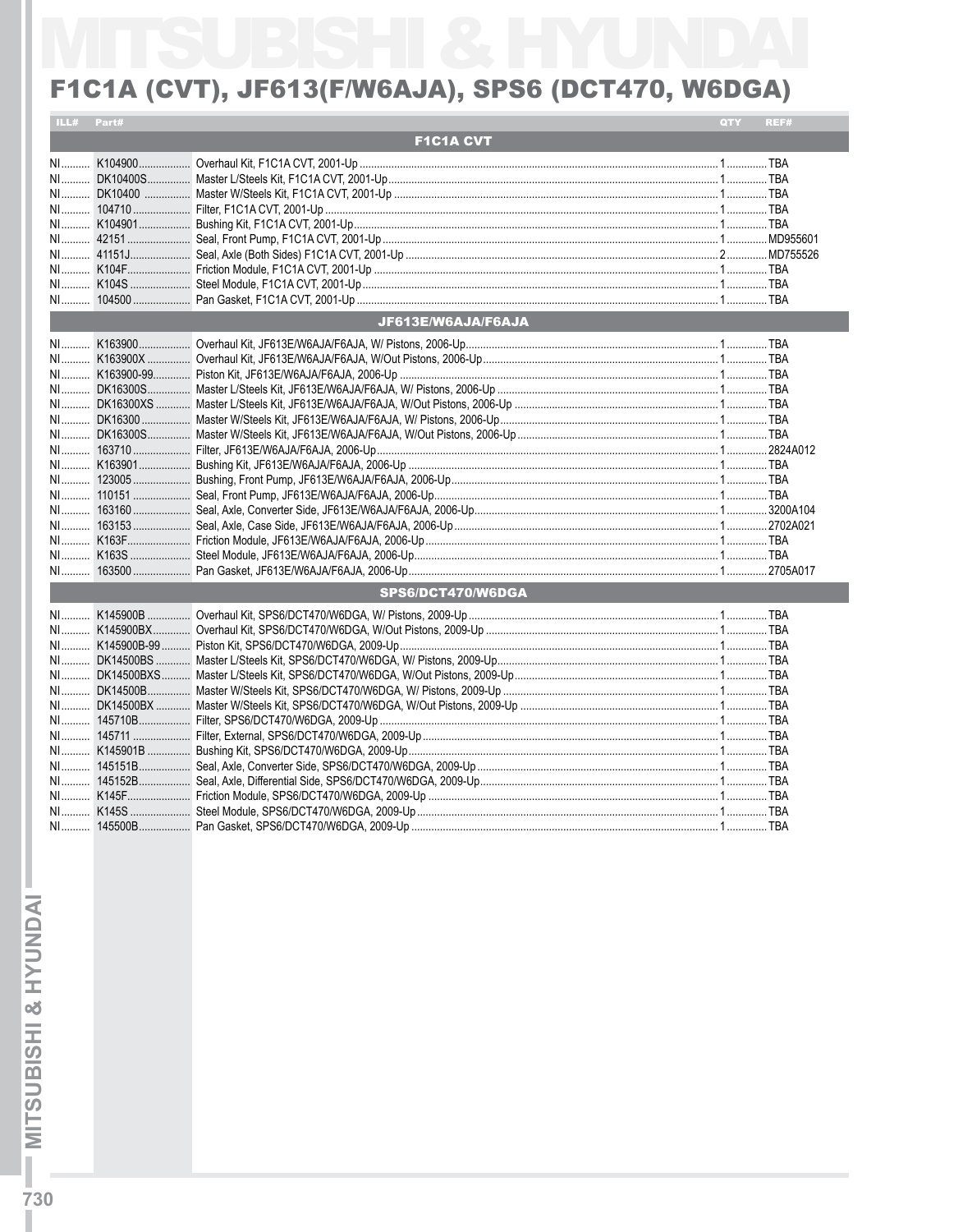## F1C1A (CVT), JF613(F/W6AJA), SPS6 (DCT470, W6DGA)

| ILL# Part# |                    | QTY | REF# |
|------------|--------------------|-----|------|
|            | <b>F1C1A CVT</b>   |     |      |
|            |                    |     |      |
|            |                    |     |      |
|            |                    |     |      |
|            |                    |     |      |
|            |                    |     |      |
|            |                    |     |      |
|            |                    |     |      |
|            |                    |     |      |
|            |                    |     |      |
|            |                    |     |      |
|            | JF613E/W6AJA/F6AJA |     |      |
|            |                    |     |      |
|            |                    |     |      |
|            |                    |     |      |
|            |                    |     |      |
|            |                    |     |      |
|            |                    |     |      |
|            |                    |     |      |
|            |                    |     |      |
|            |                    |     |      |
|            |                    |     |      |
|            |                    |     |      |
|            |                    |     |      |
|            |                    |     |      |
|            |                    |     |      |
|            |                    |     |      |
|            |                    |     |      |
|            | SPS6/DCT470/W6DGA  |     |      |
|            |                    |     |      |
|            |                    |     |      |
|            |                    |     |      |
|            |                    |     |      |
|            |                    |     |      |
|            |                    |     |      |
|            |                    |     |      |
|            |                    |     |      |
|            |                    |     |      |
|            |                    |     |      |
|            |                    |     |      |
|            |                    |     |      |
|            |                    |     |      |
|            |                    |     |      |
|            |                    |     |      |
|            |                    |     |      |